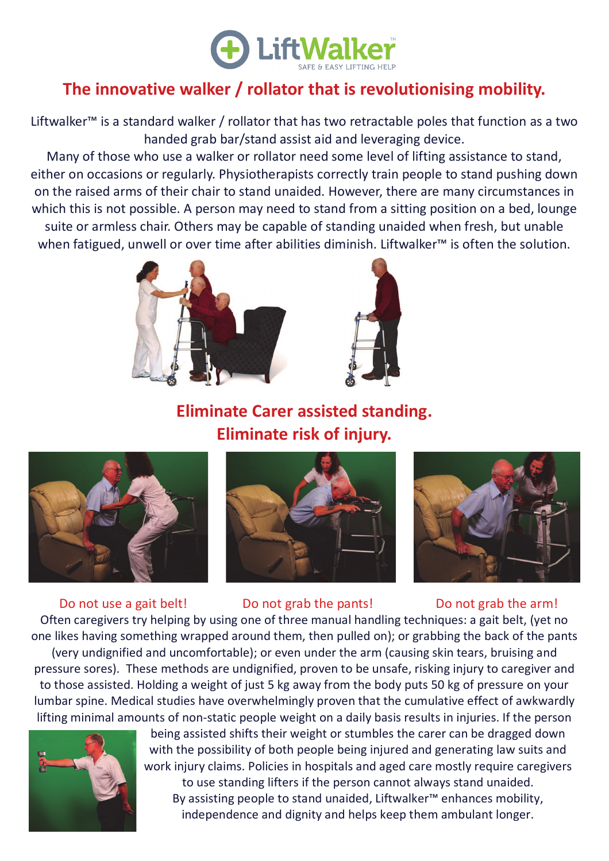

## **The innovative walker / rollator that is revolutionising mobility.**

Liftwalker™ is a standard walker / rollator that has two retractable poles that function as a two handed grab bar/stand assist aid and leveraging device.

Many of those who use a walker or rollator need some level of lifting assistance to stand, either on occasions or regularly. Physiotherapists correctly train people to stand pushing down on the raised arms of their chair to stand unaided. However, there are many circumstances in which this is not possible. A person may need to stand from a sitting position on a bed, lounge suite or armless chair. Others may be capable of standing unaided when fresh, but unable when fatigued, unwell or over time after abilities diminish. Liftwalker™ is often the solution.



## **Eliminate Carer assisted standing. Eliminate risk of injury.**









Do not use a gait belt! Do not grab the pants! Do not grab the arm!

Often caregivers try helping by using one of three manual handling techniques: a gait belt, (yet no one likes having something wrapped around them, then pulled on); or grabbing the back of the pants (very undignified and uncomfortable); or even under the arm (causing skin tears, bruising and pressure sores). These methods are undignified, proven to be unsafe, risking injury to caregiver and to those assisted. Holding a weight of just 5 kg away from the body puts 50 kg of pressure on your lumbar spine. Medical studies have overwhelmingly proven that the cumulative effect of awkwardly lifting minimal amounts of non-static people weight on a daily basis results in injuries. If the person



being assisted shifts their weight or stumbles the carer can be dragged down with the possibility of both people being injured and generating law suits and work injury claims. Policies in hospitals and aged care mostly require caregivers to use standing lifters if the person cannot always stand unaided. By assisting people to stand unaided, Liftwalker™ enhances mobility, independence and dignity and helps keep them ambulant longer.